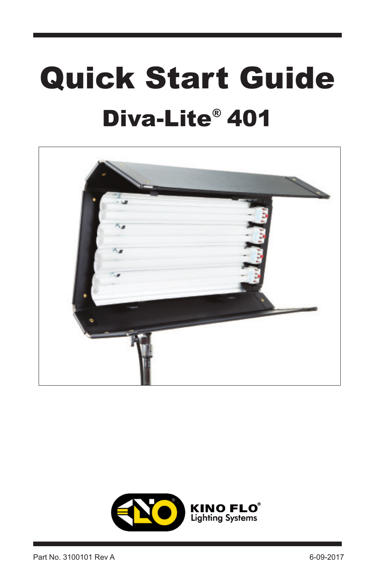# Quick Start Guide Diva-Lite<sup>®</sup> 401



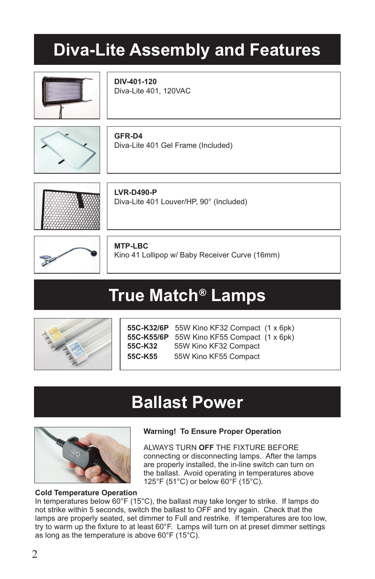# **Diva-Lite Assembly and Features**



**DIV-401-120** Diva-Lite 401, 120VAC

**GFR-D4** Diva-Lite 401 Gel Frame (Included)





**LVR-D490-P** Diva-Lite 401 Louver/HP, 90° (Included)

**MTP-LBC**

Kino 41 Lollipop w/ Baby Receiver Curve (16mm)

# True Match® Lamps



**55C-K32/6P** 55W Kino KF32 Compact (1 x 6pk) **55C-K55/6P** 55W Kino KF55 Compact (1 x 6pk) **55C-K32** 55W Kino KF32 Compact **55C-K55** 55W Kino KF55 Compact

### **Ballast Power**



#### **Warning! To Ensure Proper Operation**

ALWAYS TURN **OFF** THE FIXTURE BEFORE connecting or disconnecting lamps. After the lamps are properly installed, the in-line switch can turn on the ballast. Avoid operating in temperatures above 125°F (51°C) or below 60°F (15°C).

#### **Cold Temperature Operation**

In temperatures below  $60^{\circ}F(15^{\circ}C)$ , the ballast may take longer to strike. If lamps do not strike within 5 seconds, switch the ballast to OFF and try again. Check that the lamps are properly seated, set dimmer to Full and restrike. If temperatures are too low, try to warm up the fixture to at least 60°F. Lamps will turn on at preset dimmer settings as long as the temperature is above 60°F (15°C).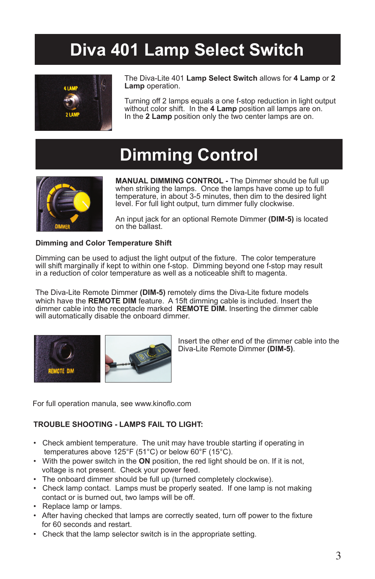# **Diva 401 Lamp Select Switch**



The Diva-Lite 401 **Lamp Select Switch** allows for **4 Lamp** or **2 Lamp** operation.

Turning off 2 lamps equals a one f-stop reduction in light output without color shift. In the **4 Lamp** position all lamps are on. In the **2 Lamp** position only the two center lamps are on.

### **Dimming Control**



**MANUAL DIMMING CONTROL -** The Dimmer should be full up when striking the lamps. Once the lamps have come up to full temperature, in about 3-5 minutes, then dim to the desired light level. For full light output, turn dimmer fully clockwise.

An input jack for an optional Remote Dimmer **(DIM-5)** is located on the ballast.

#### **Dimming and Color Temperature Shift**

Dimming can be used to adjust the light output of the fixture. The color temperature will shift marginally if kept to within one f-stop. Dimming beyond one f-stop may result in a reduction of color temperature as well as a noticeable shift to magenta.

The Diva-Lite Remote Dimmer **(DIM-5)** remotely dims the Diva-Lite fixture models which have the **REMOTE DIM** feature. A 15ft dimming cable is included. Insert the dimmer cable into the receptacle marked **REMOTE DIM.** Inserting the dimmer cable will automatically disable the onboard dimmer.



Insert the other end of the dimmer cable into the Diva-Lite Remote Dimmer **(DIM-5)**.

For full operation manula, see www.kinoflo.com

#### **TROUBLE SHOOTING - LAMPS FAIL TO LIGHT:**

- Check ambient temperature. The unit may have trouble starting if operating in temperatures above 125°F (51°C) or below 60°F (15°C).
- With the power switch in the **ON** position, the red light should be on. If it is not, voltage is not present. Check your power feed.
- The onboard dimmer should be full up (turned completely clockwise).
- Check lamp contact. Lamps must be properly seated. If one lamp is not making contact or is burned out, two lamps will be off.
- Replace lamp or lamps.
- After having checked that lamps are correctly seated, turn off power to the fixture for 60 seconds and restart.
- Check that the lamp selector switch is in the appropriate setting.